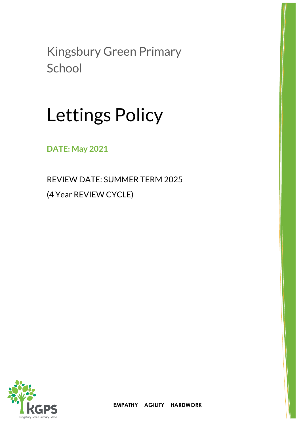Kingsbury Green Primary **School** 

# Lettings Policy

**DATE: May 2021**

REVIEW DATE: SUMMER TERM 2025 (4 Year REVIEW CYCLE)

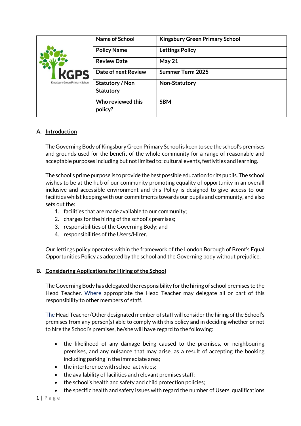|                                | Name of School      | <b>Kingsbury Green Primary School</b> |
|--------------------------------|---------------------|---------------------------------------|
|                                | <b>Policy Name</b>  | <b>Lettings Policy</b>                |
|                                | <b>Review Date</b>  | May 21                                |
| <b>KGPS</b>                    | Date of next Review | <b>Summer Term 2025</b>               |
| Kingsbury Green Primary School | Statutory / Non     | Non-Statutory                         |
|                                | <b>Statutory</b>    |                                       |
|                                | Who reviewed this   | <b>SBM</b>                            |
|                                | policy?             |                                       |

## **A. Introduction**

The Governing Body of Kingsbury Green Primary School is keen to see the school's premises and grounds used for the benefit of the whole community for a range of reasonable and acceptable purposes including but not limited to: cultural events, festivities and learning.

The school's prime purpose is to provide the best possible education for its pupils. The school wishes to be at the hub of our community promoting equality of opportunity in an overall inclusive and accessible environment and this Policy is designed to give access to our facilities whilst keeping with our commitments towards our pupils and community, and also sets out the:

- 1. facilities that are made available to our community;
- 2. charges for the hiring of the school's premises;
- 3. responsibilities of the Governing Body; and
- 4. responsibilities of the Users/Hirer.

Our lettings policy operates within the framework of the London Borough of Brent's Equal Opportunities Policy as adopted by the school and the Governing body without prejudice.

#### **B.** Considering Applications for Hiring of the School

The Governing Body has delegated the responsibility for the hiring of school premises to the Head Teacher. Where appropriate the Head Teacher may delegate all or part of this responsibility to other members of staff.

The Head Teacher/Other designated member of staff will consider the hiring of the School's premises from any person(s) able to comply with this policy and in deciding whether or not to hire the School's premises, he/she will have regard to the following:

- the likelihood of any damage being caused to the premises, or neighbouring premises, and any nuisance that may arise, as a result of accepting the booking including parking in the immediate area;
- the interference with school activities;
- the availability of facilities and relevant premises staff;
- the school's health and safety and child protection policies;
	- the specific health and safety issues with regard the number of Users, qualifications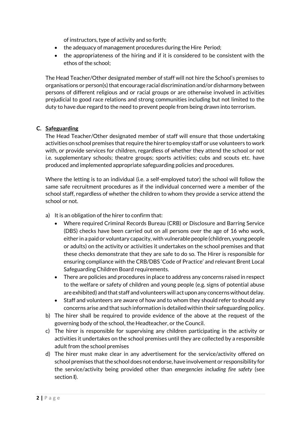of instructors, type of activity and so forth;

- the adequacy of management procedures during the Hire Period;
- the appropriateness of the hiring and if it is considered to be consistent with the ethos of the school;

The Head Teacher/Other designated member of staff will not hire the School's premises to organisations or person(s) that encourage racial discrimination and/or disharmony between persons of different religious and or racial groups or are otherwise involved in activities prejudicial to good race relations and strong communities including but not limited to the duty to have due regard to the need to prevent people from being drawn into terrorism.

#### **C. Safeguarding**

The Head Teacher/Other designated member of staff will ensure that those undertaking activities on school premises that require the hirer to employ staff or use volunteers to work with, or provide services for children, regardless of whether they attend the school or not i.e. supplementary schools; theatre groups; sports activities; cubs and scouts etc. have produced and implemented appropriate safeguarding policies and procedures.

Where the letting is to an individual (i.e. a self-employed tutor) the school will follow the same safe recruitment procedures as if the individual concerned were a member of the school staff, regardless of whether the children to whom they provide a service attend the school or not.

- a) It is an obligation of the hirer to confirm that:
	- Where required Criminal Records Bureau (CRB) or Disclosure and Barring Service (DBS) checks have been carried out on all persons over the age of 16 who work, either in a paid or voluntary capacity, with vulnerable people (children, young people or adults) on the activity or activities it undertakes on the school premises and that these checks demonstrate that they are safe to do so. The Hirer is responsible for ensuring compliance with the CRB/DBS 'Code of Practice' and relevant Brent Local Safeguarding Children Board requirements.
	- There are policies and procedures in place to address any concerns raised in respect to the welfare or safety of children and young people (e.g. signs of potential abuse are exhibited) and that staff and volunteers will act upon any concerns without delay.
	- Staff and volunteers are aware of how and to whom they should refer to should any concerns arise and that such information is detailed within their safeguarding policy.
- b) The hirer shall be required to provide evidence of the above at the request of the governing body of the school, the Headteacher, or the Council.
- c) The hirer is responsible for supervising any children participating in the activity or activities it undertakes on the school premises until they are collected by a responsible adult from the school premises
- d) The hirer must make clear in any advertisement for the service/activity offered on school premises that the school does not endorse, have involvement or responsibility for the service/activity being provided other than *emergencies including fire safety* (see section **I**).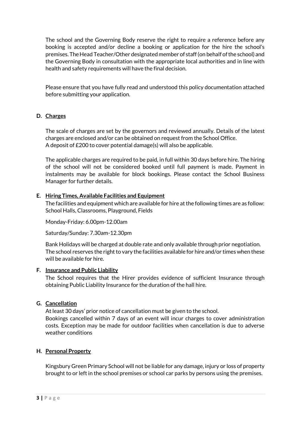The school and the Governing Body reserve the right to require a reference before any booking is accepted and/or decline a booking or application for the hire the school's premises. The Head Teacher/Other designated member of staff (on behalf of the school) and the Governing Body in consultation with the appropriate local authorities and in line with health and safety requirements will have the final decision.

Please ensure that you have fully read and understood this policy documentation attached before submitting your application.

#### **D. Charges**

The scale of charges are set by the governors and reviewed annually. Details of the latest charges are enclosed and/or can be obtained on request from the School Office. A deposit of £200 to cover potential damage(s) will also be applicable.

The applicable charges are required to be paid, in full within 30 days before hire. The hiring of the school will not be considered booked until full payment is made. Payment in instalments may be available for block bookings. Please contact the School Business Manager for further details.

#### **E. Hiring Times, Available Facilities and Equipment**

The facilities and equipment which are available for hire at the following times are as follow: School Halls, Classrooms, Playground, Fields

Monday-Friday: 6.00pm-12.00am

Saturday/Sunday: 7.30am-12.30pm

Bank Holidays will be charged at double rate and only available through prior negotiation. The school reserves the right to vary the facilities available for hire and/or times when these will be available for hire.

#### **F. Insurance and Public Liability**

The School requires that the Hirer provides evidence of sufficient Insurance through obtaining Public Liability Insurance for the duration of the hall hire.

#### **G. Cancellation**

At least 30 days' prior notice of cancellation must be given to the school. Bookings cancelled within 7 days of an event will incur charges to cover administration costs. Exception may be made for outdoor facilities when cancellation is due to adverse weather conditions

#### **H. Personal Property**

Kingsbury Green Primary School will not be liable for any damage, injury or loss of property brought to or left in the school premises or school car parks by persons using the premises.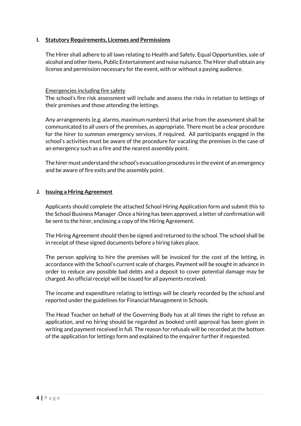#### **I. Statutory Requirements, Licenses and Permissions**

The Hirer shall adhere to all laws relating to Health and Safety, Equal Opportunities, sale of alcohol and other items, Public Entertainment and noise nuisance. The Hirer shall obtain any license and permission necessary for the event, with or without a paying audience.

#### Emergencies including fire safety

The school's fire risk assessment will include and assess the risks in relation to lettings of their premises and those attending the lettings.

Any arrangements (e.g. alarms, maximum numbers) that arise from the assessment shall be communicated to all users of the premises, as appropriate. There must be a clear procedure for the hirer to summon emergency services, if required. All participants engaged in the school's activities must be aware of the procedure for vacating the premises in the case of an emergency such as a fire and the nearest assembly point.

The hirer must understand the school's evacuation procedures in the event of an emergency and be aware of fire exits and the assembly point.

#### **J. Issuing a Hiring Agreement**

Applicants should complete the attached School Hiring Application form and submit this to the School Business Manager .Once a hiring has been approved, a letter of confirmation will be sent to the hirer, enclosing a copy of the Hiring Agreement.

The Hiring Agreement should then be signed and returned to the school. The school shall be in receipt of these signed documents before a hiring takes place.

The person applying to hire the premises will be invoiced for the cost of the letting, in accordance with the School's current scale of charges. Payment will be sought in advance in order to reduce any possible bad debts and a deposit to cover potential damage may be charged. An official receipt will be issued for all payments received.

The income and expenditure relating to lettings will be clearly recorded by the school and reported under the guidelines for Financial Management in Schools.

The Head Teacher on behalf of the Governing Body has at all times the right to refuse an application, and no hiring should be regarded as booked until approval has been given in writing and payment received in full. The reason for refusals will be recorded at the bottom of the application for lettings form and explained to the enquirer further if requested.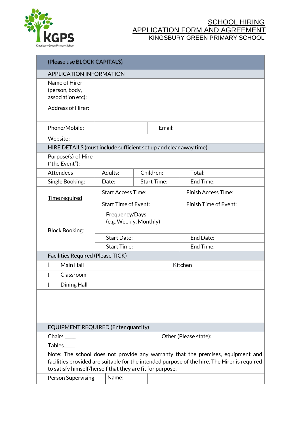

| (Please use BLOCK CAPITALS)                                                                                                                                                                                                                  |                                          |                       |           |                            |  |
|----------------------------------------------------------------------------------------------------------------------------------------------------------------------------------------------------------------------------------------------|------------------------------------------|-----------------------|-----------|----------------------------|--|
|                                                                                                                                                                                                                                              | <b>APPLICATION INFORMATION</b>           |                       |           |                            |  |
| Name of Hirer<br>(person, body,<br>association etc):                                                                                                                                                                                         |                                          |                       |           |                            |  |
| <b>Address of Hirer:</b>                                                                                                                                                                                                                     |                                          |                       |           |                            |  |
| Phone/Mobile:                                                                                                                                                                                                                                |                                          |                       | Email:    |                            |  |
| Website:                                                                                                                                                                                                                                     |                                          |                       |           |                            |  |
| HIRE DETAILS (must include sufficient set up and clear away time)                                                                                                                                                                            |                                          |                       |           |                            |  |
| Purpose(s) of Hire<br>("the Event"):                                                                                                                                                                                                         |                                          |                       |           |                            |  |
| Attendees                                                                                                                                                                                                                                    | Adults:                                  |                       | Children: | Total:                     |  |
| Single Booking:                                                                                                                                                                                                                              | Date:                                    | <b>Start Time:</b>    |           | End Time:                  |  |
| Time required                                                                                                                                                                                                                                | <b>Start Access Time:</b>                |                       |           | <b>Finish Access Time:</b> |  |
|                                                                                                                                                                                                                                              | <b>Start Time of Event:</b>              |                       |           | Finish Time of Event:      |  |
| <b>Block Booking:</b>                                                                                                                                                                                                                        | Frequency/Days<br>(e.g. Weekly, Monthly) |                       |           |                            |  |
|                                                                                                                                                                                                                                              | <b>Start Date:</b>                       |                       |           | End Date:                  |  |
|                                                                                                                                                                                                                                              | <b>Start Time:</b>                       |                       |           | End Time:                  |  |
| <b>Facilities Required (Please TICK)</b>                                                                                                                                                                                                     |                                          |                       |           |                            |  |
| Main Hall                                                                                                                                                                                                                                    | Kitchen                                  |                       |           |                            |  |
| Г<br>Classroom                                                                                                                                                                                                                               |                                          |                       |           |                            |  |
| Dining Hall<br>E                                                                                                                                                                                                                             |                                          |                       |           |                            |  |
|                                                                                                                                                                                                                                              |                                          |                       |           |                            |  |
| <b>EQUIPMENT REQUIRED (Enter quantity)</b>                                                                                                                                                                                                   |                                          |                       |           |                            |  |
| $Chairs$ <sub>____</sub>                                                                                                                                                                                                                     |                                          | Other (Please state): |           |                            |  |
| <b>Tables</b>                                                                                                                                                                                                                                |                                          |                       |           |                            |  |
| Note: The school does not provide any warranty that the premises, equipment and<br>facilities provided are suitable for the intended purpose of the hire. The Hirer is required<br>to satisfy himself/herself that they are fit for purpose. |                                          |                       |           |                            |  |
| Person Supervising                                                                                                                                                                                                                           | Name:                                    |                       |           |                            |  |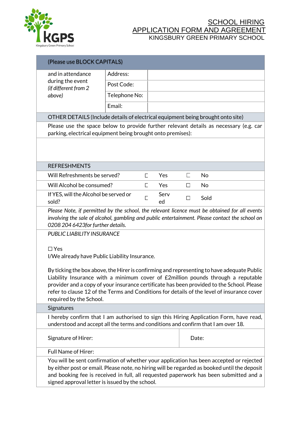

|                                                                                                                                                                                                                                                                                                                                                                                                      | (Please use BLOCK CAPITALS)                                                                                                                                                                                                                                                                                                         |               |   |            |   |           |
|------------------------------------------------------------------------------------------------------------------------------------------------------------------------------------------------------------------------------------------------------------------------------------------------------------------------------------------------------------------------------------------------------|-------------------------------------------------------------------------------------------------------------------------------------------------------------------------------------------------------------------------------------------------------------------------------------------------------------------------------------|---------------|---|------------|---|-----------|
| and in attendance                                                                                                                                                                                                                                                                                                                                                                                    | Address:                                                                                                                                                                                                                                                                                                                            |               |   |            |   |           |
|                                                                                                                                                                                                                                                                                                                                                                                                      | during the event<br>(if different from 2                                                                                                                                                                                                                                                                                            | Post Code:    |   |            |   |           |
|                                                                                                                                                                                                                                                                                                                                                                                                      | above)                                                                                                                                                                                                                                                                                                                              | Telephone No: |   |            |   |           |
|                                                                                                                                                                                                                                                                                                                                                                                                      |                                                                                                                                                                                                                                                                                                                                     | Email:        |   |            |   |           |
|                                                                                                                                                                                                                                                                                                                                                                                                      | OTHER DETAILS (Include details of electrical equipment being brought onto site)                                                                                                                                                                                                                                                     |               |   |            |   |           |
|                                                                                                                                                                                                                                                                                                                                                                                                      | Please use the space below to provide further relevant details as necessary (e.g. car<br>parking, electrical equipment being brought onto premises):                                                                                                                                                                                |               |   |            |   |           |
|                                                                                                                                                                                                                                                                                                                                                                                                      |                                                                                                                                                                                                                                                                                                                                     |               |   |            |   |           |
|                                                                                                                                                                                                                                                                                                                                                                                                      | <b>REFRESHMENTS</b>                                                                                                                                                                                                                                                                                                                 |               |   |            |   |           |
|                                                                                                                                                                                                                                                                                                                                                                                                      | Will Refreshments be served?                                                                                                                                                                                                                                                                                                        |               | Г | Yes        | E | No        |
|                                                                                                                                                                                                                                                                                                                                                                                                      | Will Alcohol be consumed?                                                                                                                                                                                                                                                                                                           |               | Г | Yes        | П | <b>No</b> |
|                                                                                                                                                                                                                                                                                                                                                                                                      | If YES, will the Alcohol be served or<br>sold?                                                                                                                                                                                                                                                                                      |               |   | Serv<br>ed | П | Sold      |
| Please Note, if permitted by the school, the relevant licence must be obtained for all events<br>involving the sale of alcohol, gambling and public entertainment. Please contact the school on<br>0208 204 6423 for further details.                                                                                                                                                                |                                                                                                                                                                                                                                                                                                                                     |               |   |            |   |           |
| PUBLIC LIABILITY INSURANCE<br>$\Box$ Yes<br>I/We already have Public Liability Insurance.                                                                                                                                                                                                                                                                                                            |                                                                                                                                                                                                                                                                                                                                     |               |   |            |   |           |
| By ticking the box above, the Hirer is confirming and representing to have adequate Public<br>Liability Insurance with a minimum cover of £2million pounds through a reputable<br>provider and a copy of your insurance certificate has been provided to the School. Please<br>refer to clause 12 of the Terms and Conditions for details of the level of insurance cover<br>required by the School. |                                                                                                                                                                                                                                                                                                                                     |               |   |            |   |           |
|                                                                                                                                                                                                                                                                                                                                                                                                      | <b>Signatures</b>                                                                                                                                                                                                                                                                                                                   |               |   |            |   |           |
| I hereby confirm that I am authorised to sign this Hiring Application Form, have read,<br>understood and accept all the terms and conditions and confirm that I am over 18.                                                                                                                                                                                                                          |                                                                                                                                                                                                                                                                                                                                     |               |   |            |   |           |
|                                                                                                                                                                                                                                                                                                                                                                                                      | Signature of Hirer:                                                                                                                                                                                                                                                                                                                 |               |   | Date:      |   |           |
|                                                                                                                                                                                                                                                                                                                                                                                                      | Full Name of Hirer:                                                                                                                                                                                                                                                                                                                 |               |   |            |   |           |
|                                                                                                                                                                                                                                                                                                                                                                                                      | You will be sent confirmation of whether your application has been accepted or rejected<br>by either post or email. Please note, no hiring will be regarded as booked until the deposit<br>and booking fee is received in full, all requested paperwork has been submitted and a<br>signed approval letter is issued by the school. |               |   |            |   |           |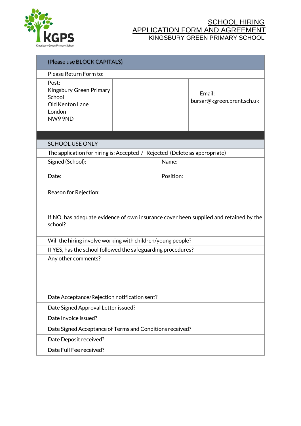

| (Please use BLOCK CAPITALS)                                                                      |  |           |                                      |  |
|--------------------------------------------------------------------------------------------------|--|-----------|--------------------------------------|--|
| Please Return Form to:                                                                           |  |           |                                      |  |
| Post:<br>Kingsbury Green Primary<br>School<br>Old Kenton Lane<br>London<br><b>NW9 9ND</b>        |  |           | Email:<br>bursar@kgreen.brent.sch.uk |  |
|                                                                                                  |  |           |                                      |  |
| <b>SCHOOL USE ONLY</b>                                                                           |  |           |                                      |  |
| The application for hiring is: Accepted / Rejected (Delete as appropriate)                       |  |           |                                      |  |
| Signed (School):                                                                                 |  | Name:     |                                      |  |
| Date:                                                                                            |  | Position: |                                      |  |
| Reason for Rejection:                                                                            |  |           |                                      |  |
|                                                                                                  |  |           |                                      |  |
| If NO, has adequate evidence of own insurance cover been supplied and retained by the<br>school? |  |           |                                      |  |
| Will the hiring involve working with children/young people?                                      |  |           |                                      |  |
| If YES, has the school followed the safeguarding procedures?                                     |  |           |                                      |  |
| Any other comments?                                                                              |  |           |                                      |  |
| Date Acceptance/Rejection notification sent?                                                     |  |           |                                      |  |
| Date Signed Approval Letter issued?                                                              |  |           |                                      |  |
| Date Invoice issued?                                                                             |  |           |                                      |  |
| Date Signed Acceptance of Terms and Conditions received?                                         |  |           |                                      |  |
| Date Deposit received?                                                                           |  |           |                                      |  |
| Date Full Fee received?                                                                          |  |           |                                      |  |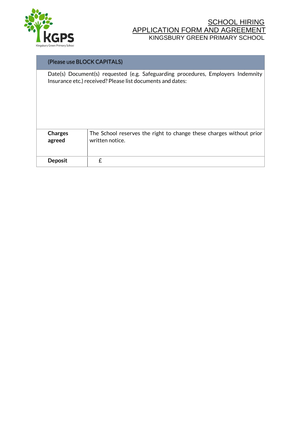

#### (Please use BLOCK CAPITALS)

Date(s) Document(s) requested (e.g. Safeguarding procedures, Employers Indemnity Insurance etc.) received? Please list documents and dates:

| <b>Charges</b> | The School reserves the right to change these charges without prior |
|----------------|---------------------------------------------------------------------|
| agreed         | written notice.                                                     |
| <b>Deposit</b> |                                                                     |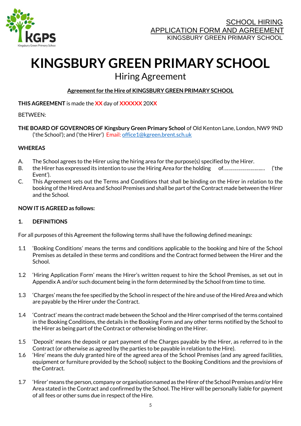

# **KINGSBURY GREEN PRIMARY SCHOOL**

# Hiring Agreement

#### **Agreement for the Hire of KINGSBURY GREEN PRIMARY SCHOOL**

#### **THIS AGREEMENT** is made the **XX** day of **XXXXXX** 20X**X**

#### BETWEEN:

**THE BOARD OF GOVERNORS OF Kingsbury Green Primary School** of Old Kenton Lane, London, NW9 9ND ('the School'); and ('the Hirer') Email[: office1@kgreen.brent.sch.uk](mailto:office1@kgreen.brent.sch.uk)

#### **WHEREAS**

- A. The School agrees to the Hirer using the hiring area for the purpose(s) specified by the Hirer.
- B. the Hirer has expressed its intention to use the Hiring Area for the holding of……………………….… ('the Event').
- C. This Agreement sets out the Terms and Conditions that shall be binding on the Hirer in relation to the booking of the Hired Area and School Premises and shall be part of the Contract made between the Hirer and the School.

#### **NOW IT IS AGREED as follows:**

#### **1. DEFINITIONS**

For all purposes of this Agreement the following terms shall have the following defined meanings:

- 1.1 'Booking Conditions' means the terms and conditions applicable to the booking and hire of the School Premises as detailed in these terms and conditions and the Contract formed between the Hirer and the School.
- 1.2 'Hiring Application Form' means the Hirer's written request to hire the School Premises, as set out in Appendix A and/or such document being in the form determined by the School from time to time.
- 1.3 'Charges' means the fee specified by the School in respect of the hire and use of the Hired Area and which are payable by the Hirer under the Contract.
- 1.4 'Contract' means the contract made between the School and the Hirer comprised of the terms contained in the Booking Conditions, the details in the Booking Form and any other terms notified by the School to the Hirer as being part of the Contract or otherwise binding on the Hirer.
- 1.5 'Deposit' means the deposit or part payment of the Charges payable by the Hirer, as referred to in the Contract (or otherwise as agreed by the parties to be payable in relation to the Hire).
- 1.6 'Hire' means the duly granted hire of the agreed area of the School Premises (and any agreed facilities, equipment or furniture provided by the School) subject to the Booking Conditions and the provisions of the Contract.
- 1.7 'Hirer' means the person, company or organisation named as the Hirer of the School Premises and/or Hire Area stated in the Contract and confirmed by the School. The Hirer will be personally liable for payment of all fees or other sums due in respect of the Hire.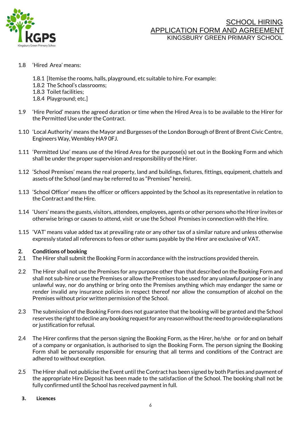

#### 1.8 'Hired Area' means:

- 1.8.1 [Itemise the rooms, halls, playground, etc suitable to hire. For example:
- 1.8.2 The School's classrooms;
- 1.8.3 Toilet facilities;
- 1.8.4 Playground; etc.]
- 1.9 'Hire Period' means the agreed duration or time when the Hired Area is to be available to the Hirer for the Permitted Use under the Contract.
- 1.10 'Local Authority' means the Mayor and Burgesses of the London Borough of Brent of Brent Civic Centre, Engineers Way, Wembley HA9 0FJ.
- 1.11 'Permitted Use' means use of the Hired Area for the purpose(s) set out in the Booking Form and which shall be under the proper supervision and responsibility of the Hirer.
- 1.12 'School Premises' means the real property, land and buildings, fixtures, fittings, equipment, chattels and assets of the School (and may be referred to as "Premises" herein).
- 1.13 'School Officer' means the officer or officers appointed by the School as its representative in relation to the Contract and the Hire.
- 1.14 'Users' means the guests, visitors, attendees, employees, agents or other persons who the Hirer invites or otherwise brings or causes to attend, visit or use the School Premises in connection with the Hire.
- 1.15 'VAT' means value added tax at prevailing rate or any other tax of a similar nature and unless otherwise expressly stated all references to fees or other sums payable by the Hirer are exclusive of VAT.

#### **2. Conditions of booking**

- 2.1 The Hirer shall submit the Booking Form in accordance with the instructions provided therein.
- 2.2 The Hirer shall not use the Premises for any purpose other than that described on the Booking Form and shall not sub-hire or use the Premises or allow the Premises to be used for any unlawful purpose or in any unlawful way, nor do anything or bring onto the Premises anything which may endanger the same or render invalid any insurance policies in respect thereof nor allow the consumption of alcohol on the Premises without prior written permission of the School.
- 2.3 The submission of the Booking Form does not guarantee that the booking will be granted and the School reserves the right to decline any booking request for any reason without the need to provide explanations or justification for refusal.
- 2.4 The Hirer confirms that the person signing the Booking Form, as the Hirer, he/she or for and on behalf of a company or organisation, is authorised to sign the Booking Form. The person signing the Booking Form shall be personally responsible for ensuring that all terms and conditions of the Contract are adhered to without exception.
- 2.5 The Hirer shall not publicise the Event until the Contract has been signed by both Parties and payment of the appropriate Hire Deposit has been made to the satisfaction of the School. The booking shall not be fully confirmed until the School has received payment in full.

#### **3. Licences**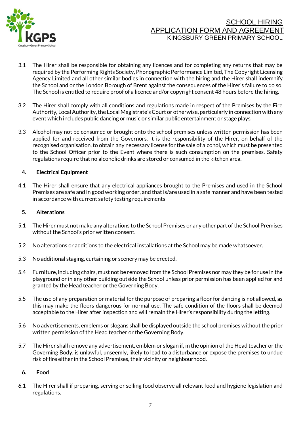

- 3.1 The Hirer shall be responsible for obtaining any licences and for completing any returns that may be required by the Performing Rights Society, Phonographic Performance Limited, The Copyright Licensing Agency Limited and all other similar bodies in connection with the hiring and the Hirer shall indemnify the School and or the London Borough of Brent against the consequences of the Hirer's failure to do so. The School is entitled to require proof of a licence and/or copyright consent 48 hours before the hiring.
- 3.2 The Hirer shall comply with all conditions and regulations made in respect of the Premises by the Fire Authority, Local Authority, the Local Magistrate's Court or otherwise, particularly in connection with any event which includes public dancing or music or similar public entertainment or stage plays.
- 3.3 Alcohol may not be consumed or brought onto the school premises unless written permission has been applied for and received from the Governors. It is the responsibility of the Hirer, on behalf of the recognised organisation, to obtain any necessary license for the sale of alcohol, which must be presented to the School Officer prior to the Event where there is such consumption on the premises. Safety regulations require that no alcoholic drinks are stored or consumed in the kitchen area.

#### **4. Electrical Equipment**

4.1 The Hirer shall ensure that any electrical appliances brought to the Premises and used in the School Premises are safe and in good working order, and that is/are used in a safe manner and have been tested in accordance with current safety testing requirements

#### **5. Alterations**

- 5.1 The Hirer must not make any alterations to the School Premises or any other part of the School Premises without the School's prior written consent.
- 5.2 No alterations or additions to the electrical installations at the School may be made whatsoever.
- 5.3 No additional staging, curtaining or scenery may be erected.
- 5.4 Furniture, including chairs, must not be removed from the School Premises nor may they be for use in the playground or in any other building outside the School unless prior permission has been applied for and granted by the Head teacher or the Governing Body.
- 5.5 The use of any preparation or material for the purpose of preparing a floor for dancing is not allowed, as this may make the floors dangerous for normal use. The safe condition of the floors shall be deemed acceptable to the Hirer after inspection and will remain the Hirer's responsibility during the letting.
- 5.6 No advertisements, emblems or slogans shall be displayed outside the school premises without the prior written permission of the Head teacher or the Governing Body.
- 5.7 The Hirer shall remove any advertisement, emblem or slogan if, in the opinion of the Head teacher or the Governing Body, is unlawful, unseemly, likely to lead to a disturbance or expose the premises to undue risk of fire either in the School Premises, their vicinity or neighbourhood.

#### **6. Food**

6.1 The Hirer shall if preparing, serving or selling food observe all relevant food and hygiene legislation and regulations.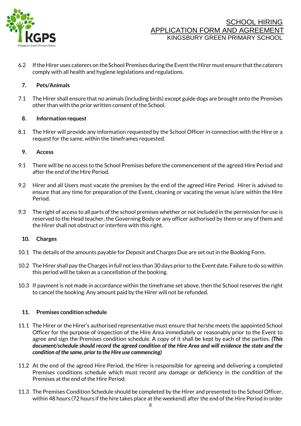

6.2 If the Hirer uses caterers on the School Premises during the Event the Hirer must ensure that the caterers comply with all health and hygiene legislations and regulations.

#### **7. Pets/Animals**

7.1 The Hirer shall ensure that no animals (including birds) except guide dogs are brought onto the Premises other than with the prior written consent of the School.

#### **8. Information request**

8.1 The Hirer will provide any information requested by the School Officer in connection with the Hire or a request for the same, within the timeframes requested.

#### **9. Access**

- 9.1 There will be no access to the School Premises before the commencement of the agreed Hire Period and after the end of the Hire Period.
- 9.2 Hirer and all Users must vacate the premises by the end of the agreed Hire Period. Hirer is advised to ensure that any time for preparation of the Event, cleaning or vacating the venue is/are within the Hire Period.
- 9.3 The right of access to all parts of the school premises whether or not included in the permission for use is reserved to the Head teacher, the Governing Body or any officer authorised by them or any of them and the Hirer shall not obstruct or interfere with this right.

#### **10. Charges**

- 10.1 The details of the amounts payable for Deposit and Charges Due are set out in the Booking Form.
- 10.2 The Hirer shall pay the Charges in full not less than 30 days prior to the Event date. Failure to do so within this period will be taken as a cancellation of the booking.
- 10.3 If payment is not made in accordance within the timeframe set above, then the School reserves the right to cancel the booking. Any amount paid by the Hirer will not be refunded.

#### **11. Premises condition schedule**

- 11.1 The Hirer or the Hirer's authorised representative must ensure that he/she meets the appointed School Officer for the purpose of inspection of the Hire Area immediately or reasonably prior to the Event to agree and sign the Premises condition schedule. A copy of it shall be kept by each of the parties. *(This document/schedule should record the agreed condition of the Hire Area and will evidence the state and the condition of the same, prior to the Hire use commencing)*
- 11.2 At the end of the agreed Hire Period, the Hirer is responsible for agreeing and delivering a completed Premises conditions schedule which must record any damage or deficiency in the condition of the Premises at the end of the Hire Period.
- 11.3 The Premises Condition Schedule should be completed by the Hirer and presented to the School Officer, within 48 hours (72 hours if the hire takes place at the weekend) after the end of the Hire Period in order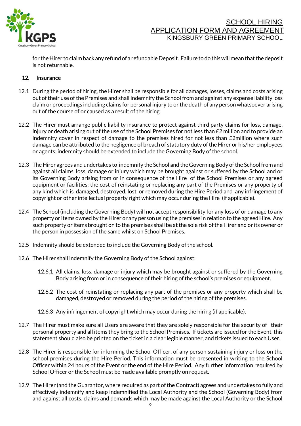

for the Hirer to claim back any refund of a refundable Deposit. Failure to do this will mean that the deposit is not returnable.

#### **12. Insurance**

- 12.1 During the period of hiring, the Hirer shall be responsible for all damages, losses, claims and costs arising out of their use of the Premises and shall indemnify the School from and against any expense liability loss claim or proceedings including claims for personal injury to or the death of any person whatsoever arising out of the course of or caused as a result of the hiring.
- 12.2 The Hirer must arrange public liability insurance to protect against third party claims for loss, damage, injury or death arising out of the use of the School Premises for not less than £2 million and to provide an indemnity cover in respect of damage to the premises hired for not less than £2million where such damage can be attributed to the negligence of breach of statutory duty of the Hirer or his/her employees or agents; indemnity should be extended to include the Governing Body of the school.
- 12.3 The Hirer agrees and undertakes to indemnify the School and the Governing Body of the School from and against all claims, loss, damage or injury which may be brought against or suffered by the School and or its Governing Body arising from or in consequence of the Hire of the School Premises or any agreed equipment or facilities; the cost of reinstating or replacing any part of the Premises or any property of any kind which is damaged, destroyed, lost or removed during the Hire Period and any infringement of copyright or other intellectual property right which may occur during the Hire (if applicable).
- 12.4 The School (including the Governing Body) will not accept responsibility for any loss of or damage to any property or items owned by the Hirer or any person using the premises in relation to the agreed Hire. Any such property or items brought on to the premises shall be at the sole risk of the Hirer and or its owner or the person in possession of the same whilst on School Premises.
- 12.5 Indemnity should be extended to include the Governing Body of the school.
- 12.6 The Hirer shall indemnify the Governing Body of the School against:
	- 12.6.1 All claims, loss, damage or injury which may be brought against or suffered by the Governing Body arising from or in consequence of their hiring of the school's premises or equipment.
	- 12.6.2 The cost of reinstating or replacing any part of the premises or any property which shall be damaged, destroyed or removed during the period of the hiring of the premises.
	- 12.6.3 Any infringement of copyright which may occur during the hiring (if applicable).
- 12.7 The Hirer must make sure all Users are aware that they are solely responsible for the security of their personal property and all items they bring to the School Premises. If tickets are issued for the Event, this statement should also be printed on the ticket in a clear legible manner, and tickets issued to each User.
- 12.8 The Hirer is responsible for informing the School Officer, of any person sustaining injury or loss on the school premises during the Hire Period. This information must be presented in writing to the School Officer within 24 hours of the Event or the end of the Hire Period. Any further information required by School Officer or the School must be made available promptly on request.
- 12.9 The Hirer (and the Guarantor, where required as part of the Contract) agrees and undertakes to fully and effectively indemnify and keep indemnified the Local Authority and the School (Governing Body) from and against all costs, claims and demands which may be made against the Local Authority or the School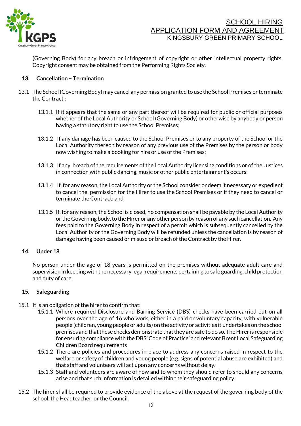

(Governing Body) for any breach or infringement of copyright or other intellectual property rights. Copyright consent may be obtained from the Performing Rights Society.

#### **13. Cancellation – Termination**

- 13.1 The School (Governing Body) may cancel any permission granted to use the School Premises or terminate the Contract :
	- 13.1.1 If it appears that the same or any part thereof will be required for public or official purposes whether of the Local Authority or School (Governing Body) or otherwise by anybody or person having a statutory right to use the School Premises;
	- 13.1.2 If any damage has been caused to the School Premises or to any property of the School or the Local Authority thereon by reason of any previous use of the Premises by the person or body now wishing to make a booking for hire or use of the Premises;
	- 13.1.3 If any breach of the requirements of the Local Authority licensing conditions or of the Justices in connection with public dancing, music or other public entertainment's occurs;
	- 13.1.4 If, for any reason, the Local Authority or the School consider or deem it necessary or expedient to cancel the permission for the Hirer to use the School Premises or if they need to cancel or terminate the Contract; and
	- 13.1.5 If, for any reason, the School is closed, no compensation shall be payable by the Local Authority or the Governing body, to the Hirer or any other person by reason of any such cancellation. Any fees paid to the Governing Body in respect of a permit which is subsequently cancelled by the Local Authority or the Governing Body will be refunded unless the cancellation is by reason of damage having been caused or misuse or breach of the Contract by the Hirer.

#### **14. Under 18**

No person under the age of 18 years is permitted on the premises without adequate adult care and supervision in keeping with the necessary legal requirements pertaining to safe guarding, child protection and duty of care.

#### **15. Safeguarding**

- 15.1 It is an obligation of the hirer to confirm that:
	- 15.1.1 Where required Disclosure and Barring Service (DBS) checks have been carried out on all persons over the age of 16 who work, either in a paid or voluntary capacity, with vulnerable people (children, young people or adults) on the activity or activities it undertakes on the school premises and that these checks demonstrate that they are safe to do so. The Hirer is responsible for ensuring compliance with the DBS 'Code of Practice' and relevant Brent Local Safeguarding Children Board requirements
	- 15.1.2 There are policies and procedures in place to address any concerns raised in respect to the welfare or safety of children and young people (e.g. signs of potential abuse are exhibited) and that staff and volunteers will act upon any concerns without delay.
	- 15.1.3 Staff and volunteers are aware of how and to whom they should refer to should any concerns arise and that such information is detailed within their safeguarding policy.
- 15.2 The hirer shall be required to provide evidence of the above at the request of the governing body of the school, the Headteacher, or the Council.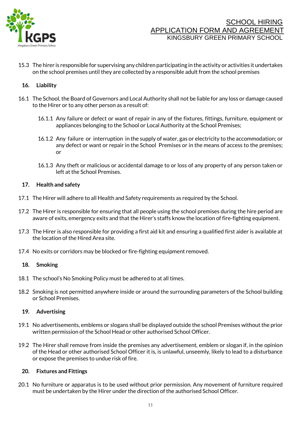

15.3 The hirer is responsible for supervising any children participating in the activity or activities it undertakes on the school premises until they are collected by a responsible adult from the school premises

#### **16. Liability**

- 16.1 The School, the Board of Governors and Local Authority shall not be liable for any loss or damage caused to the Hirer or to any other person as a result of:
	- 16.1.1 Any failure or defect or want of repair in any of the fixtures, fittings, furniture, equipment or appliances belonging to the School or Local Authority at the School Premises;
	- 16.1.2 Any failure or interruption in the supply of water, gas or electricity to the accommodation; or any defect or want or repair in the School Premises or in the means of access to the premises; or
	- 16.1.3 Any theft or malicious or accidental damage to or loss of any property of any person taken or left at the School Premises.

#### **17. Health and safety**

- 17.1 The Hirer will adhere to all Health and Safety requirements as required by the School.
- 17.2 The Hirer is responsible for ensuring that all people using the school premises during the hire period are aware of exits, emergency exits and that the Hirer's staffs know the location of fire-fighting equipment.
- 17.3 The Hirer is also responsible for providing a first aid kit and ensuring a qualified first aider is available at the location of the Hired Area site.
- 17.4 No exits or corridors may be blocked or fire-fighting equipment removed.

#### **18. Smoking**

- 18.1 The school's No Smoking Policy must be adhered to at all times.
- 18.2 Smoking is not permitted anywhere inside or around the surrounding parameters of the School building or School Premises.

#### **19. Advertising**

- 19.1 No advertisements, emblems or slogans shall be displayed outside the school Premises without the prior written permission of the School Head or other authorised School Officer.
- 19.2 The Hirer shall remove from inside the premises any advertisement, emblem or slogan if, in the opinion of the Head or other authorised School Officer it is, is unlawful, unseemly, likely to lead to a disturbance or expose the premises to undue risk of fire.

#### **20. Fixtures and Fittings**

20.1 No furniture or apparatus is to be used without prior permission. Any movement of furniture required must be undertaken by the Hirer under the direction of the authorised School Officer.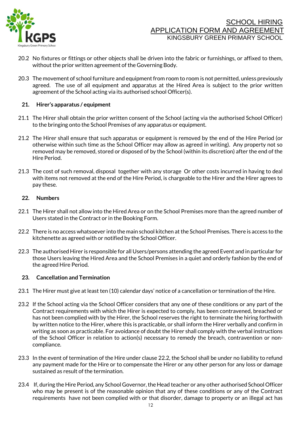

- 20.2 No fixtures or fittings or other objects shall be driven into the fabric or furnishings, or affixed to them, without the prior written agreement of the Governing Body.
- 20.3 The movement of school furniture and equipment from room to room is not permitted, unless previously agreed. The use of all equipment and apparatus at the Hired Area is subject to the prior written agreement of the School acting via its authorised school Officer(s).

#### **21. Hirer's apparatus / equipment**

- 21.1 The Hirer shall obtain the prior written consent of the School (acting via the authorised School Officer) to the bringing onto the School Premises of any apparatus or equipment.
- 21.2 The Hirer shall ensure that such apparatus or equipment is removed by the end of the Hire Period (or otherwise within such time as the School Officer may allow as agreed in writing). Any property not so removed may be removed, stored or disposed of by the School (within its discretion) after the end of the Hire Period.
- 21.3 The cost of such removal, disposal together with any storage Or other costs incurred in having to deal with items not removed at the end of the Hire Period, is chargeable to the Hirer and the Hirer agrees to pay these.

#### **22. Numbers**

- 22.1 The Hirer shall not allow into the Hired Area or on the School Premises more than the agreed number of Users stated in the Contract or in the Booking Form.
- 22.2 There is no access whatsoever into the main school kitchen at the School Premises. There is access to the kitchenette as agreed with or notified by the School Officer.
- 22.3 The authorised Hirer is responsible for all Users/persons attending the agreed Event and in particular for those Users leaving the Hired Area and the School Premises in a quiet and orderly fashion by the end of the agreed Hire Period.

#### **23. Cancellation and Termination**

- 23.1 The Hirer must give at least ten (10) calendar days' notice of a cancellation or termination of the Hire.
- 23.2 If the School acting via the School Officer considers that any one of these conditions or any part of the Contract requirements with which the Hirer is expected to comply, has been contravened, breached or has not been complied with by the Hirer, the School reserves the right to terminate the hiring forthwith by written notice to the Hirer, where this is practicable, or shall inform the Hirer verbally and confirm in writing as soon as practicable. For avoidance of doubt the Hirer shall comply with the verbal instructions of the School Officer in relation to action(s) necessary to remedy the breach, contravention or noncompliance.
- 23.3 In the event of termination of the Hire under clause 22.2, the School shall be under no liability to refund any payment made for the Hire or to compensate the Hirer or any other person for any loss or damage sustained as result of the termination.
- 23.4 If, during the Hire Period, any School Governor, the Head teacher or any other authorised School Officer who may be present is of the reasonable opinion that any of these conditions or any of the Contract requirements have not been complied with or that disorder, damage to property or an illegal act has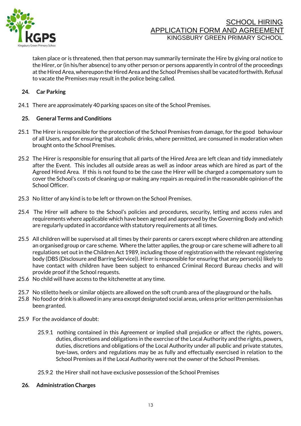

taken place or is threatened, then that person may summarily terminate the Hire by giving oral notice to the Hirer, or (in his/her absence) to any other person or persons apparently in control of the proceedings at the Hired Area, whereupon the Hired Area and the School Premises shall be vacated forthwith. Refusal to vacate the Premises may result in the police being called.

#### **24. Car Parking**

24.1 There are approximately 40 parking spaces on site of the School Premises.

#### **25. General Terms and Conditions**

- 25.1 The Hirer is responsible for the protection of the School Premises from damage, for the good behaviour of all Users, and for ensuring that alcoholic drinks, where permitted, are consumed in moderation when brought onto the School Premises.
- 25.2 The Hirer is responsible for ensuring that all parts of the Hired Area are left clean and tidy immediately after the Event. This includes all outside areas as well as indoor areas which are hired as part of the Agreed Hired Area. If this is not found to be the case the Hirer will be charged a compensatory sum to cover the School's costs of cleaning up or making any repairs as required in the reasonable opinion of the School Officer.
- 25.3 No litter of any kind is to be left or thrown on the School Premises.
- 25.4 The Hirer will adhere to the School's policies and procedures, security, letting and access rules and requirements where applicable which have been agreed and approved by the Governing Body and which are regularly updated in accordance with statutory requirements at all times.
- 25.5 All children will be supervised at all times by their parents or carers except where children are attending an organised group or care scheme. Where the latter applies, the group or care scheme will adhere to all regulations set out in the Children Act 1989, including those of registration with the relevant registering body (DBS (Disclosure and Barring Service)). Hirer is responsible for ensuring that any person(s) likely to have contact with children have been subject to enhanced Criminal Record Bureau checks and will provide proof if the School requests.
- 25.6 No child will have access to the kitchenette at any time.
- 25.7 No stiletto heels or similar objects are allowed on the soft crumb area of the playground or the halls.
- 25.8 No food or drink is allowed in any area except designated social areas, unless prior written permission has been granted.
- 25.9 For the avoidance of doubt:
	- 25.9.1 nothing contained in this Agreement or implied shall prejudice or affect the rights, powers, duties, discretions and obligations in the exercise of the Local Authority and the rights, powers, duties, discretions and obligations of the Local Authority under all public and private statutes, bye-laws, orders and regulations may be as fully and effectually exercised in relation to the School Premises as if the Local Authority were not the owner of the School Premises.
	- 25.9.2 the Hirer shall not have exclusive possession of the School Premises
	- **26. Administration Charges**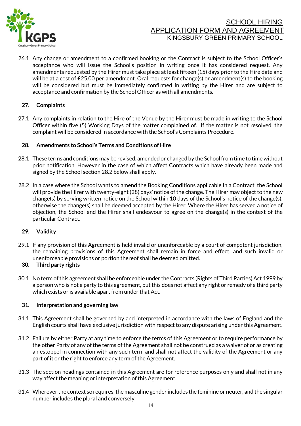

26.1 Any change or amendment to a confirmed booking or the Contract is subject to the School Officer's acceptance who will issue the School's position in writing once it has considered request. Any amendments requested by the Hirer must take place at least fifteen (15) days prior to the Hire date and will be at a cost of £25.00 per amendment. Oral requests for change(s) or amendment(s) to the booking will be considered but must be immediately confirmed in writing by the Hirer and are subject to acceptance and confirmation by the School Officer as with all amendments.

#### **27. Complaints**

27.1 Any complaints in relation to the Hire of the Venue by the Hirer must be made in writing to the School Officer within five (5) Working Days of the matter complained of. If the matter is not resolved, the complaint will be considered in accordance with the School's Complaints Procedure.

#### **28. Amendments to School's Terms and Conditions of Hire**

- 28.1 These terms and conditions may be revised, amended or changed by the School from time to time without prior notification. However in the case of which affect Contracts which have already been made and signed by the School section 28.2 below shall apply.
- 28.2 In a case where the School wants to amend the Booking Conditions applicable in a Contract, the School will provide the Hirer with twenty-eight (28) days' notice of the change. The Hirer may object to the new change(s) by serving written notice on the School within 10 days of the School's notice of the change(s), otherwise the change(s) shall be deemed accepted by the Hirer. Where the Hirer has served a notice of objection, the School and the Hirer shall endeavour to agree on the change(s) in the context of the particular Contract.

#### **29. Validity**

29.1 If any provision of this Agreement is held invalid or unenforceable by a court of competent jurisdiction, the remaining provisions of this Agreement shall remain in force and effect, and such invalid or unenforceable provisions or portion thereof shall be deemed omitted.

#### **30. Third party rights**

30.1 No term of this agreement shall be enforceable under the Contracts (Rights of Third Parties) Act 1999 by a person who is not a party to this agreement, but this does not affect any right or remedy of a third party which exists or is available apart from under that Act.

#### **31. Interpretation and governing law**

- 31.1 This Agreement shall be governed by and interpreted in accordance with the laws of England and the English courts shall have exclusive jurisdiction with respect to any dispute arising under this Agreement.
- 31.2 Failure by either Party at any time to enforce the terms of this Agreement or to require performance by the other Party of any of the terms of the Agreement shall not be construed as a waiver of or as creating an estoppel in connection with any such term and shall not affect the validity of the Agreement or any part of it or the right to enforce any term of the Agreement.
- 31.3 The section headings contained in this Agreement are for reference purposes only and shall not in any way affect the meaning or interpretation of this Agreement.
- 31.4 Wherever the context so requires, the masculine gender includes the feminine or neuter, and the singular number includes the plural and conversely.